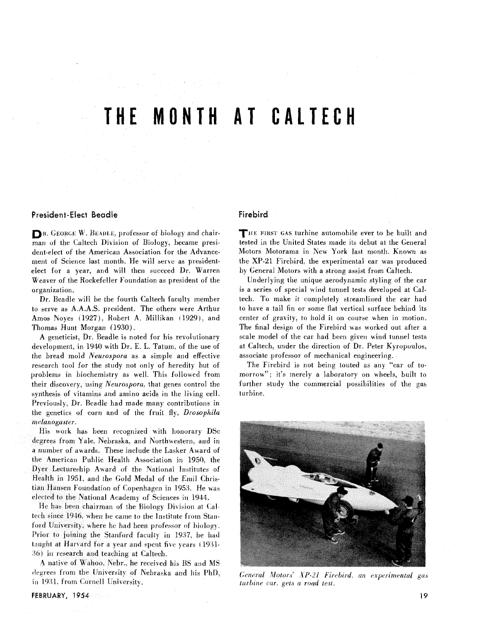# **THE MONTH AT CALTECH**

#### **President-Elect Beadle**

**DR.** GEORGE W. BEADLE, professor of biology and chairman of the Caltech Division of Biology, became president-elect of the American Association for the Advancement of Science last month. He will serve as presidentelect for a year, and will then succeed Dr. Warren Weaver of the Rockefeller Foundation as president of the organization.

Dr. Beadle will be the fourth Caltech faculty member to serve as A.A.A.S. president. The others were Arthur Amos hoyes (1927). Robert **A.** Millikan (1929). and Thomas Hunt Morgan (1930).

A geneticist, Dr. Beadle is noted for his revolutionary development, in 1940 with Dr. E. L. Tatum, of the use of the bread mold *hurospora* as a simple and effective research tool for the study not only of heredity but of problems in biochemistry as well. This followed from their discovery, using *Neurospora.* that genes control the synthesis of vitamins and amino acids in the living cell. Previously, Dr. Beadle had made many contributions in the genetics of corn and of the fruit fly, *Drosophila melanoguster.* 

His work has been recognized with honorary DSc degrees from Yale. Nebraska. and Northwestern. and in **d** number of awards. These include the Lasker Award of the American Public Health Association in 1950. the Dyer Lectureship Award of the National Institutes of Health in 1951. and the Gold Medal of the Emil Christian Hansen Foundation of Copenhagen in 1953. He was elected to the National Academy of Sciences in 1944.

He has been chairman of the Biology Division at Caltech since 1946, when he came to the Institute from Stanford University. where he had been professor of biology. Prior to joining the Stanford faculty in 1937. he had taught at Harvard for a year and spent five years (1931-**,561** in research and teaching at Caltech.

A native of Wahoo. Nebr.. he received his BS and MS degrees from the University of Nebraska and his PhD, in 1931, from Cornell University.

# **Firebird**

THE **FIKST** GAS turbine automobile ever to be built and tested in the United States made its debut at the General Motors Motorama in New York last month. Known as the XP-21 Firebird. the experimental car was produced by General Motors with a strong assist from Caltech.

Underlying the unique aerodynamic styling of the car is a series of special wind tunnel tests developed at Caltech. To make it completely streamlined the car had to have a tail fin or some flat vertical surface behind its center of gravity, to hold it on course when in motion. The final design of the Firebird was worked out after a scale model of the car had been given wind tunnel tests at Caltech. under the direction of Dr. Peter Kyropoulos, associate professor of mechanical engineering.

The Firebird is not being touted as any "car of tomorrow": it's merely a laboratory on wheels, built to further study the commercial possibilities of the gas turbine.



General Motors' XP-21 Firebird, an experimental gas *ttirt)ine cur.* **ets** *a road test.*